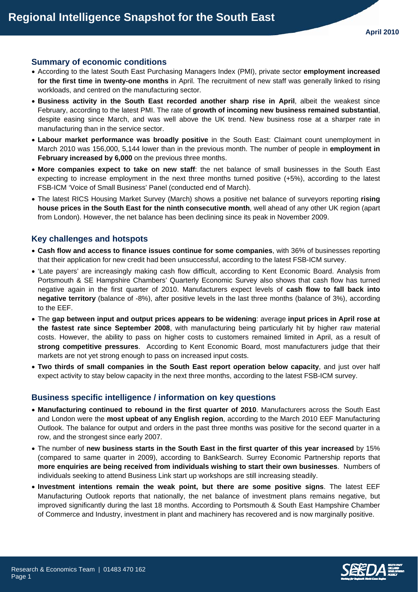### **Summary of economic conditions**

- According to the latest South East Purchasing Managers Index (PMI), private sector **employment increased for the first time in twenty-one months** in April. The recruitment of new staff was generally linked to rising workloads, and centred on the manufacturing sector.
- **Business activity in the South East recorded another sharp rise in April**, albeit the weakest since February, according to the latest PMI. The rate of **growth of incoming new business remained substantial**, despite easing since March, and was well above the UK trend. New business rose at a sharper rate in manufacturing than in the service sector.
- **Labour market performance was broadly positive** in the South East: Claimant count unemployment in March 2010 was 156,000, 5,144 lower than in the previous month. The number of people in **employment in February increased by 6,000** on the previous three months.
- **More companies expect to take on new staff**: the net balance of small businesses in the South East expecting to increase employment in the next three months turned positive (+5%), according to the latest FSB-ICM 'Voice of Small Business' Panel (conducted end of March).
- The latest RICS Housing Market Survey (March) shows a positive net balance of surveyors reporting **rising house prices in the South East for the ninth consecutive month**, well ahead of any other UK region (apart from London). However, the net balance has been declining since its peak in November 2009.

# **Key challenges and hotspots**

- **Cash flow and access to finance issues continue for some companies**, with 36% of businesses reporting that their application for new credit had been unsuccessful, according to the latest FSB-ICM survey.
- 'Late payers' are increasingly making cash flow difficult, according to Kent Economic Board. Analysis from Portsmouth & SE Hampshire Chambers' Quarterly Economic Survey also shows that cash flow has turned negative again in the first quarter of 2010. Manufacturers expect levels of **cash flow to fall back into negative territory** (balance of -8%), after positive levels in the last three months (balance of 3%), according to the EEF.
- The **gap between input and output prices appears to be widening**: average **input prices in April rose at the fastest rate since September 2008**, with manufacturing being particularly hit by higher raw material costs. However, the ability to pass on higher costs to customers remained limited in April, as a result of **strong competitive pressures**. According to Kent Economic Board, most manufacturers judge that their markets are not yet strong enough to pass on increased input costs.
- **Two thirds of small companies in the South East report operation below capacity**, and just over half expect activity to stay below capacity in the next three months, according to the latest FSB-ICM survey.

# **Business specific intelligence / information on key questions**

- **Manufacturing continued to rebound in the first quarter of 2010**. Manufacturers across the South East and London were the **most upbeat of any English region**, according to the March 2010 EEF Manufacturing Outlook. The balance for output and orders in the past three months was positive for the second quarter in a row, and the strongest since early 2007.
- The number of **new business starts in the South East in the first quarter of this year increased** by 15% (compared to same quarter in 2009), according to BankSearch. Surrey Economic Partnership reports that **more enquiries are being received from individuals wishing to start their own businesses**. Numbers of individuals seeking to attend Business Link start up workshops are still increasing steadily.
- **Investment intentions remain the weak point, but there are some positive signs**. The latest EEF Manufacturing Outlook reports that nationally, the net balance of investment plans remains negative, but improved significantly during the last 18 months. According to Portsmouth & South East Hampshire Chamber of Commerce and Industry, investment in plant and machinery has recovered and is now marginally positive.

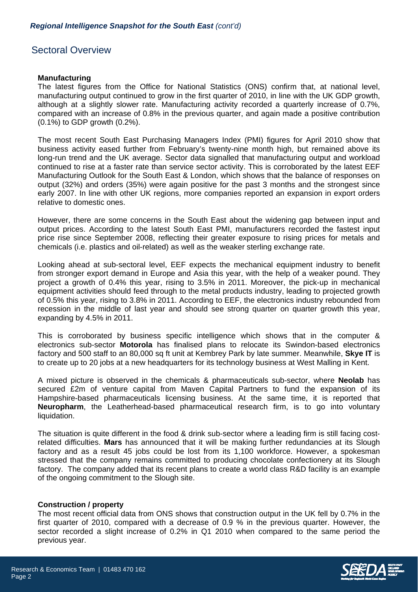# Sectoral Overview

### **Manufacturing**

The latest figures from the Office for National Statistics (ONS) confirm that, at national level, manufacturing output continued to grow in the first quarter of 2010, in line with the UK GDP growth, although at a slightly slower rate. Manufacturing activity recorded a quarterly increase of 0.7%, compared with an increase of 0.8% in the previous quarter, and again made a positive contribution (0.1%) to GDP growth (0.2%).

The most recent South East Purchasing Managers Index (PMI) figures for April 2010 show that business activity eased further from February's twenty-nine month high, but remained above its long-run trend and the UK average. Sector data signalled that manufacturing output and workload continued to rise at a faster rate than service sector activity. This is corroborated by the latest EEF Manufacturing Outlook for the South East & London, which shows that the balance of responses on output (32%) and orders (35%) were again positive for the past 3 months and the strongest since early 2007. In line with other UK regions, more companies reported an expansion in export orders relative to domestic ones.

However, there are some concerns in the South East about the widening gap between input and output prices. According to the latest South East PMI, manufacturers recorded the fastest input price rise since September 2008, reflecting their greater exposure to rising prices for metals and chemicals (i.e. plastics and oil-related) as well as the weaker sterling exchange rate.

Looking ahead at sub-sectoral level, EEF expects the mechanical equipment industry to benefit from stronger export demand in Europe and Asia this year, with the help of a weaker pound. They project a growth of 0.4% this year, rising to 3.5% in 2011. Moreover, the pick-up in mechanical equipment activities should feed through to the metal products industry, leading to projected growth of 0.5% this year, rising to 3.8% in 2011. According to EEF, the electronics industry rebounded from recession in the middle of last year and should see strong quarter on quarter growth this year, expanding by 4.5% in 2011.

This is corroborated by business specific intelligence which shows that in the computer & electronics sub-sector **Motorola** has finalised plans to relocate its Swindon-based electronics factory and 500 staff to an 80,000 sq ft unit at Kembrey Park by late summer. Meanwhile, **Skye IT** is to create up to 20 jobs at a new headquarters for its technology business at West Malling in Kent.

A mixed picture is observed in the chemicals & pharmaceuticals sub-sector, where **Neolab** has secured £2m of venture capital from Maven Capital Partners to fund the expansion of its Hampshire-based pharmaceuticals licensing business. At the same time, it is reported that **Neuropharm**, the Leatherhead-based pharmaceutical research firm, is to go into voluntary liquidation.

The situation is quite different in the food & drink sub-sector where a leading firm is still facing costrelated difficulties. **Mars** has announced that it will be making further redundancies at its Slough factory and as a result 45 jobs could be lost from its 1,100 workforce. However, a spokesman stressed that the company remains committed to producing chocolate confectionery at its Slough factory. The company added that its recent plans to create a world class R&D facility is an example of the ongoing commitment to the Slough site.

# **Construction / property**

The most recent official data from ONS shows that construction output in the UK fell by 0.7% in the first quarter of 2010, compared with a decrease of 0.9 % in the previous quarter. However, the sector recorded a slight increase of 0.2% in Q1 2010 when compared to the same period the previous year.

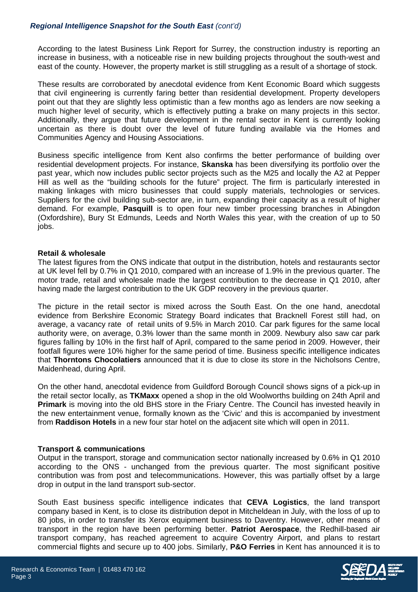# *Regional Intelligence Snapshot for the South East (cont'd)*

According to the latest Business Link Report for Surrey, the construction industry is reporting an increase in business, with a noticeable rise in new building projects throughout the south-west and east of the county. However, the property market is still struggling as a result of a shortage of stock.

These results are corroborated by anecdotal evidence from Kent Economic Board which suggests that civil engineering is currently faring better than residential development. Property developers point out that they are slightly less optimistic than a few months ago as lenders are now seeking a much higher level of security, which is effectively putting a brake on many projects in this sector. Additionally, they argue that future development in the rental sector in Kent is currently looking uncertain as there is doubt over the level of future funding available via the Homes and Communities Agency and Housing Associations.

Business specific intelligence from Kent also confirms the better performance of building over residential development projects. For instance, **Skanska** has been diversifying its portfolio over the past year, which now includes public sector projects such as the M25 and locally the A2 at Pepper Hill as well as the "building schools for the future" project. The firm is particularly interested in making linkages with micro businesses that could supply materials, technologies or services. Suppliers for the civil building sub-sector are, in turn, expanding their capacity as a result of higher demand. For example, **Pasquill** is to open four new timber processing branches in Abingdon (Oxfordshire), Bury St Edmunds, Leeds and North Wales this year, with the creation of up to 50 jobs.

### **Retail & wholesale**

The latest figures from the ONS indicate that output in the distribution, hotels and restaurants sector at UK level fell by 0.7% in Q1 2010, compared with an increase of 1.9% in the previous quarter. The motor trade, retail and wholesale made the largest contribution to the decrease in Q1 2010, after having made the largest contribution to the UK GDP recovery in the previous quarter.

The picture in the retail sector is mixed across the South East. On the one hand, anecdotal evidence from Berkshire Economic Strategy Board indicates that Bracknell Forest still had, on average, a vacancy rate of retail units of 9.5% in March 2010. Car park figures for the same local authority were, on average, 0.3% lower than the same month in 2009. Newbury also saw car park figures falling by 10% in the first half of April, compared to the same period in 2009. However, their footfall figures were 10% higher for the same period of time. Business specific intelligence indicates that **Thorntons Chocolatiers** announced that it is due to close its store in the Nicholsons Centre, Maidenhead, during April.

On the other hand, anecdotal evidence from Guildford Borough Council shows signs of a pick-up in the retail sector locally, as **TKMaxx** opened a shop in the old Woolworths building on 24th April and **Primark** is moving into the old BHS store in the Friary Centre. The Council has invested heavily in the new entertainment venue, formally known as the 'Civic' and this is accompanied by investment from **Raddison Hotels** in a new four star hotel on the adjacent site which will open in 2011.

# **Transport & communications**

Output in the transport, storage and communication sector nationally increased by 0.6% in Q1 2010 according to the ONS - unchanged from the previous quarter. The most significant positive contribution was from post and telecommunications. However, this was partially offset by a large drop in output in the land transport sub-sector.

South East business specific intelligence indicates that **CEVA Logistics**, the land transport company based in Kent, is to close its distribution depot in Mitcheldean in July, with the loss of up to 80 jobs, in order to transfer its Xerox equipment business to Daventry. However, other means of transport in the region have been performing better. **Patriot Aerospace**, the Redhill-based air transport company, has reached agreement to acquire Coventry Airport, and plans to restart commercial flights and secure up to 400 jobs. Similarly, **P&O Ferries** in Kent has announced it is to